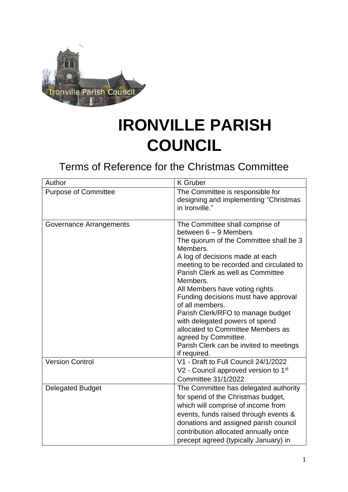

## **IRONVILLE PARISH COUNCIL**

Terms of Reference for the Christmas Committee

| Author                      | <b>K</b> Gruber                                                                                                                                                                                                                                                                                                                                                                                                                                                                                                                               |  |
|-----------------------------|-----------------------------------------------------------------------------------------------------------------------------------------------------------------------------------------------------------------------------------------------------------------------------------------------------------------------------------------------------------------------------------------------------------------------------------------------------------------------------------------------------------------------------------------------|--|
| <b>Purpose of Committee</b> | The Committee is responsible for<br>designing and implementing "Christmas"<br>in Ironville."                                                                                                                                                                                                                                                                                                                                                                                                                                                  |  |
| Governance Arrangements     | The Committee shall comprise of<br>between $6 - 9$ Members<br>The quorum of the Committee shall be 3<br>Members.<br>A log of decisions made at each<br>meeting to be recorded and circulated to<br>Parish Clerk as well as Committee<br>Members.<br>All Members have voting rights.<br>Funding decisions must have approval<br>of all members.<br>Parish Clerk/RFO to manage budget<br>with delegated powers of spend<br>allocated to Committee Members as<br>agreed by Committee.<br>Parish Clerk can be invited to meetings<br>if required. |  |
| <b>Version Control</b>      | V1 - Draft to Full Council 24/1/2022<br>V2 - Council approved version to 1 <sup>st</sup><br><b>Committee 31/1/2022</b>                                                                                                                                                                                                                                                                                                                                                                                                                        |  |
| <b>Delegated Budget</b>     | The Committee has delegated authority<br>for spend of the Christmas budget,<br>which will comprise of income from<br>events, funds raised through events &<br>donations and assigned parish council<br>contribution allocated annually once<br>precept agreed (typically January) in                                                                                                                                                                                                                                                          |  |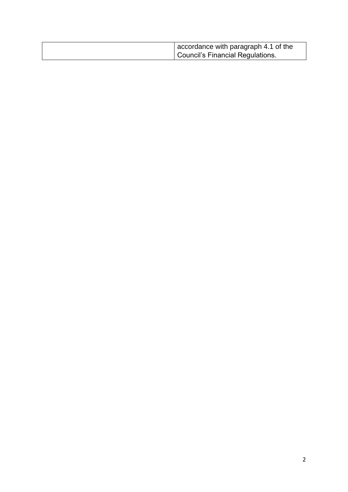| accordance with paragraph 4.1 of the<br>Council's Financial Regulations. |
|--------------------------------------------------------------------------|
|                                                                          |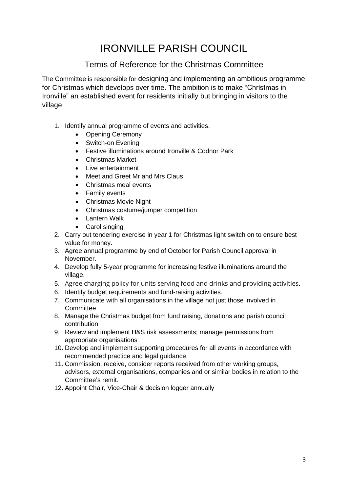## IRONVILLE PARISH COUNCIL

## Terms of Reference for the Christmas Committee

The Committee is responsible for designing and implementing an ambitious programme for Christmas which develops over time. The ambition is to make "Christmas in Ironville" an established event for residents initially but bringing in visitors to the village.

- 1. Identify annual programme of events and activities.
	- Opening Ceremony
	- Switch-on Evening
	- Festive illuminations around Ironville & Codnor Park
	- Christmas Market
	- Live entertainment
	- Meet and Greet Mr and Mrs Claus
	- Christmas meal events
	- Family events
	- Christmas Movie Night
	- Christmas costume/jumper competition
	- Lantern Walk
	- Carol singing
- 2. Carry out tendering exercise in year 1 for Christmas light switch on to ensure best value for money.
- 3. Agree annual programme by end of October for Parish Council approval in November.
- 4. Develop fully 5-year programme for increasing festive illuminations around the village.
- 5. Agree charging policy for units serving food and drinks and providing activities.
- 6. Identify budget requirements and fund-raising activities.
- 7. Communicate with all organisations in the village not just those involved in **Committee**
- 8. Manage the Christmas budget from fund raising, donations and parish council contribution
- 9. Review and implement H&S risk assessments; manage permissions from appropriate organisations
- 10. Develop and implement supporting procedures for all events in accordance with recommended practice and legal guidance.
- 11. Commission, receive, consider reports received from other working groups, advisors, external organisations, companies and or similar bodies in relation to the Committee's remit.
- 12. Appoint Chair, Vice-Chair & decision logger annually